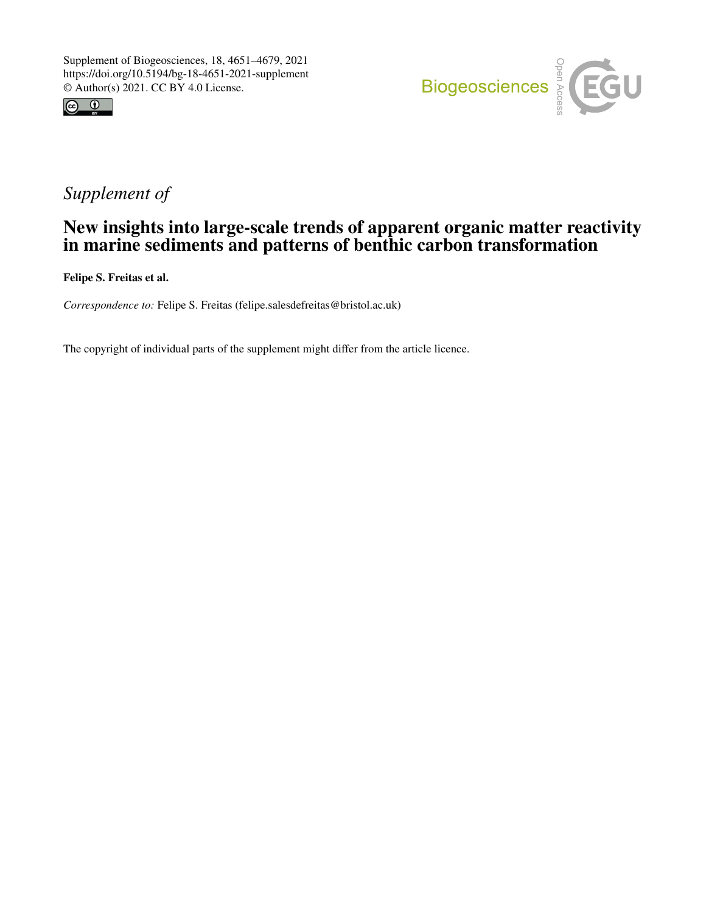



# *Supplement of*

# New insights into large-scale trends of apparent organic matter reactivity in marine sediments and patterns of benthic carbon transformation

Felipe S. Freitas et al.

*Correspondence to:* Felipe S. Freitas (felipe.salesdefreitas@bristol.ac.uk)

The copyright of individual parts of the supplement might differ from the article licence.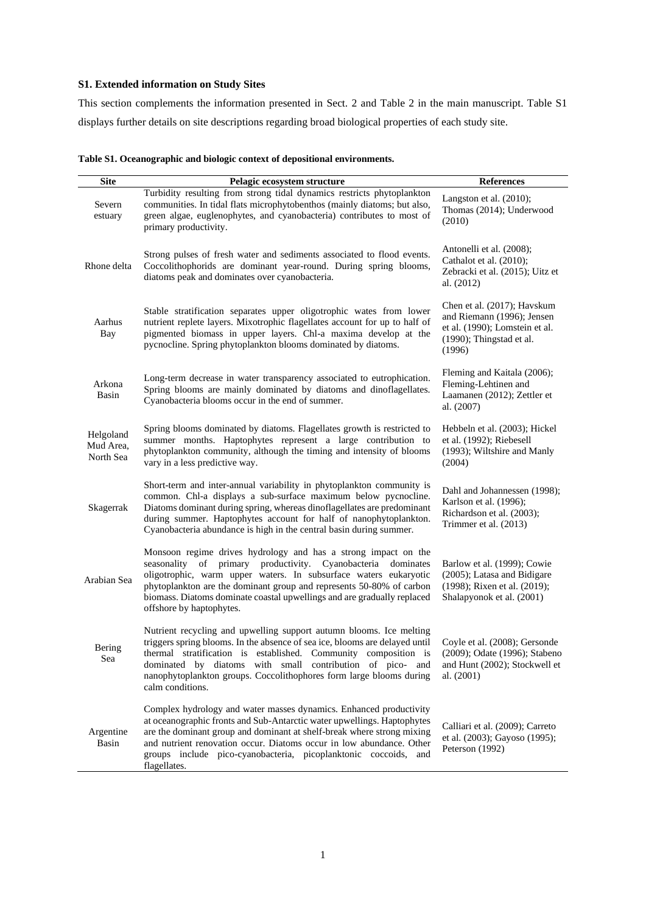### **S1. Extended information on Study Sites**

This section complements the information presented in Sect. 2 and Table 2 in the main manuscript. Table S1 displays further details on site descriptions regarding broad biological properties of each study site.

| Table S1. Oceanographic and biologic context of depositional environments. |
|----------------------------------------------------------------------------|
|                                                                            |

| <b>Site</b>                         | Pelagic ecosystem structure                                                                                                                                                                                                                                                                                                                                                        | <b>References</b>                                                                                                                    |
|-------------------------------------|------------------------------------------------------------------------------------------------------------------------------------------------------------------------------------------------------------------------------------------------------------------------------------------------------------------------------------------------------------------------------------|--------------------------------------------------------------------------------------------------------------------------------------|
| Severn<br>estuary                   | Turbidity resulting from strong tidal dynamics restricts phytoplankton<br>communities. In tidal flats microphytobenthos (mainly diatoms; but also,<br>green algae, euglenophytes, and cyanobacteria) contributes to most of<br>primary productivity.                                                                                                                               | Langston et al. $(2010)$ ;<br>Thomas (2014); Underwood<br>(2010)                                                                     |
| Rhone delta                         | Strong pulses of fresh water and sediments associated to flood events.<br>Coccolithophorids are dominant year-round. During spring blooms,<br>diatoms peak and dominates over cyanobacteria.                                                                                                                                                                                       | Antonelli et al. (2008);<br>Cathalot et al. (2010);<br>Zebracki et al. (2015); Uitz et<br>al. (2012)                                 |
| Aarhus<br>Bay                       | Stable stratification separates upper oligotrophic wates from lower<br>nutrient replete layers. Mixotrophic flagellates account for up to half of<br>pigmented biomass in upper layers. Chl-a maxima develop at the<br>pycnocline. Spring phytoplankton blooms dominated by diatoms.                                                                                               | Chen et al. (2017); Havskum<br>and Riemann (1996); Jensen<br>et al. (1990); Lomstein et al.<br>$(1990)$ ; Thingstad et al.<br>(1996) |
| Arkona<br>Basin                     | Long-term decrease in water transparency associated to eutrophication.<br>Spring blooms are mainly dominated by diatoms and dinoflagellates.<br>Cyanobacteria blooms occur in the end of summer.                                                                                                                                                                                   | Fleming and Kaitala (2006);<br>Fleming-Lehtinen and<br>Laamanen (2012); Zettler et<br>al. (2007)                                     |
| Helgoland<br>Mud Area,<br>North Sea | Spring blooms dominated by diatoms. Flagellates growth is restricted to<br>summer months. Haptophytes represent a large contribution to<br>phytoplankton community, although the timing and intensity of blooms<br>vary in a less predictive way.                                                                                                                                  | Hebbeln et al. (2003); Hickel<br>et al. (1992); Riebesell<br>(1993); Wiltshire and Manly<br>(2004)                                   |
| Skagerrak                           | Short-term and inter-annual variability in phytoplankton community is<br>common. Chl-a displays a sub-surface maximum below pycnocline.<br>Diatoms dominant during spring, whereas dinoflagellates are predominant<br>during summer. Haptophytes account for half of nanophytoplankton.<br>Cyanobacteria abundance is high in the central basin during summer.                     | Dahl and Johannessen (1998);<br>Karlson et al. (1996);<br>Richardson et al. (2003);<br>Trimmer et al. (2013)                         |
| Arabian Sea                         | Monsoon regime drives hydrology and has a strong impact on the<br>seasonality of primary productivity. Cyanobacteria dominates<br>oligotrophic, warm upper waters. In subsurface waters eukaryotic<br>phytoplankton are the dominant group and represents 50-80% of carbon<br>biomass. Diatoms dominate coastal upwellings and are gradually replaced<br>offshore by haptophytes.  | Barlow et al. (1999); Cowie<br>(2005); Latasa and Bidigare<br>(1998); Rixen et al. (2019);<br>Shalapyonok et al. (2001)              |
| Bering<br>Sea                       | Nutrient recycling and upwelling support autumn blooms. Ice melting<br>triggers spring blooms. In the absence of sea ice, blooms are delayed until<br>thermal stratification is established. Community composition is<br>dominated by diatoms with small contribution of pico- and<br>nanophytoplankton groups. Coccolithophores form large blooms during<br>calm conditions.      | Coyle et al. (2008); Gersonde<br>(2009); Odate (1996); Stabeno<br>and Hunt (2002); Stockwell et<br>al. $(2001)$                      |
| Argentine<br>Basin                  | Complex hydrology and water masses dynamics. Enhanced productivity<br>at oceanographic fronts and Sub-Antarctic water upwellings. Haptophytes<br>are the dominant group and dominant at shelf-break where strong mixing<br>and nutrient renovation occur. Diatoms occur in low abundance. Other<br>groups include pico-cyanobacteria, picoplanktonic coccoids, and<br>flagellates. | Calliari et al. (2009); Carreto<br>et al. (2003); Gayoso (1995);<br>Peterson (1992)                                                  |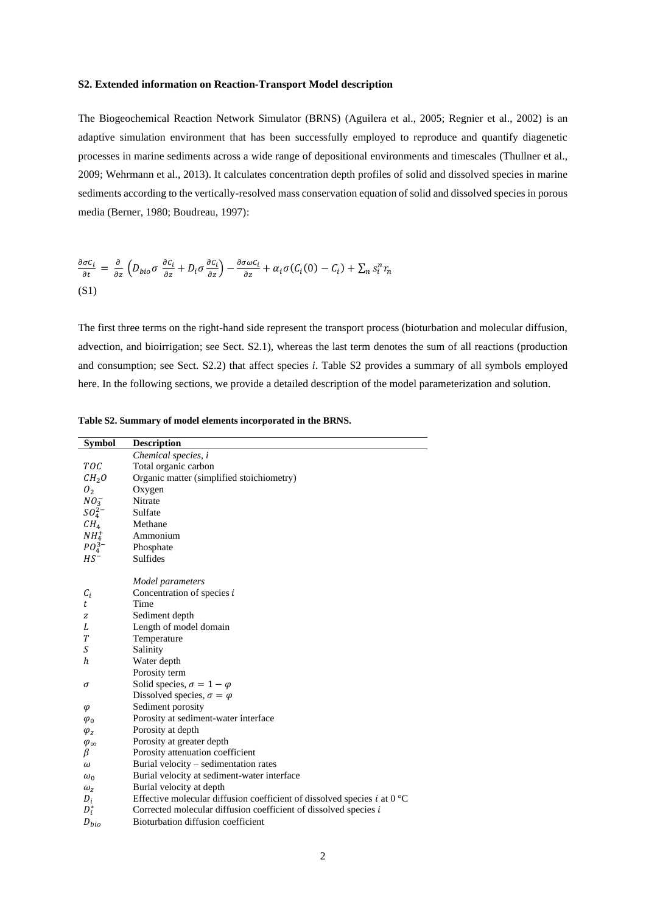#### **S2. Extended information on Reaction-Transport Model description**

The Biogeochemical Reaction Network Simulator (BRNS) (Aguilera et al., 2005; Regnier et al., 2002) is an adaptive simulation environment that has been successfully employed to reproduce and quantify diagenetic processes in marine sediments across a wide range of depositional environments and timescales (Thullner et al., 2009; Wehrmann et al., 2013). It calculates concentration depth profiles of solid and dissolved species in marine sediments according to the vertically-resolved mass conservation equation of solid and dissolved species in porous media (Berner, 1980; Boudreau, 1997):

$$
\frac{\partial \sigma C_i}{\partial t} = \frac{\partial}{\partial z} \left( D_{bio} \sigma \frac{\partial C_i}{\partial z} + D_i \sigma \frac{\partial C_i}{\partial z} \right) - \frac{\partial \sigma \omega C_i}{\partial z} + \alpha_i \sigma (C_i (0) - C_i) + \sum_n s_i^n r_n
$$
\n(S1)

The first three terms on the right-hand side represent the transport process (bioturbation and molecular diffusion, advection, and bioirrigation; see Sect. S2.1), whereas the last term denotes the sum of all reactions (production and consumption; see Sect. S2.2) that affect species *i*. Table S2 provides a summary of all symbols employed here. In the following sections, we provide a detailed description of the model parameterization and solution.

| <b>Symbol</b>      | <b>Description</b>                                                                |
|--------------------|-----------------------------------------------------------------------------------|
|                    | Chemical species, i                                                               |
| TOC                | Total organic carbon                                                              |
| CH <sub>2</sub> O  | Organic matter (simplified stoichiometry)                                         |
| $\mathcal{O}_2$    | Oxygen                                                                            |
| $NO_3^-$           | Nitrate                                                                           |
| $SO_4^{2-}$        | Sulfate                                                                           |
| CH <sub>4</sub>    | Methane                                                                           |
| NH <sub>4</sub>    | Ammonium                                                                          |
| $PO_4^{3-}$        | Phosphate                                                                         |
| $HS^-$             | Sulfides                                                                          |
|                    |                                                                                   |
|                    | Model parameters                                                                  |
| $C_i$              | Concentration of species i                                                        |
| t                  | Time                                                                              |
| z                  | Sediment depth                                                                    |
| L                  | Length of model domain                                                            |
| T                  | Temperature                                                                       |
| S                  | Salinity                                                                          |
| h                  | Water depth                                                                       |
|                    | Porosity term                                                                     |
| σ                  | Solid species, $\sigma = 1 - \varphi$                                             |
|                    | Dissolved species, $\sigma = \varphi$                                             |
| $\varphi$          | Sediment porosity                                                                 |
| $\varphi_0$        | Porosity at sediment-water interface                                              |
| $\varphi_z$        | Porosity at depth                                                                 |
| $\varphi_{\infty}$ | Porosity at greater depth                                                         |
| β                  | Porosity attenuation coefficient                                                  |
| ω                  | Burial velocity – sedimentation rates                                             |
| $\omega_0$         | Burial velocity at sediment-water interface                                       |
| $\omega_z$         | Burial velocity at depth                                                          |
| $D_i$              | Effective molecular diffusion coefficient of dissolved species i at $0^{\circ}$ C |
| $D_i^*$            | Corrected molecular diffusion coefficient of dissolved species i                  |
| $D_{bio}$          | Bioturbation diffusion coefficient                                                |

**Table S2. Summary of model elements incorporated in the BRNS.**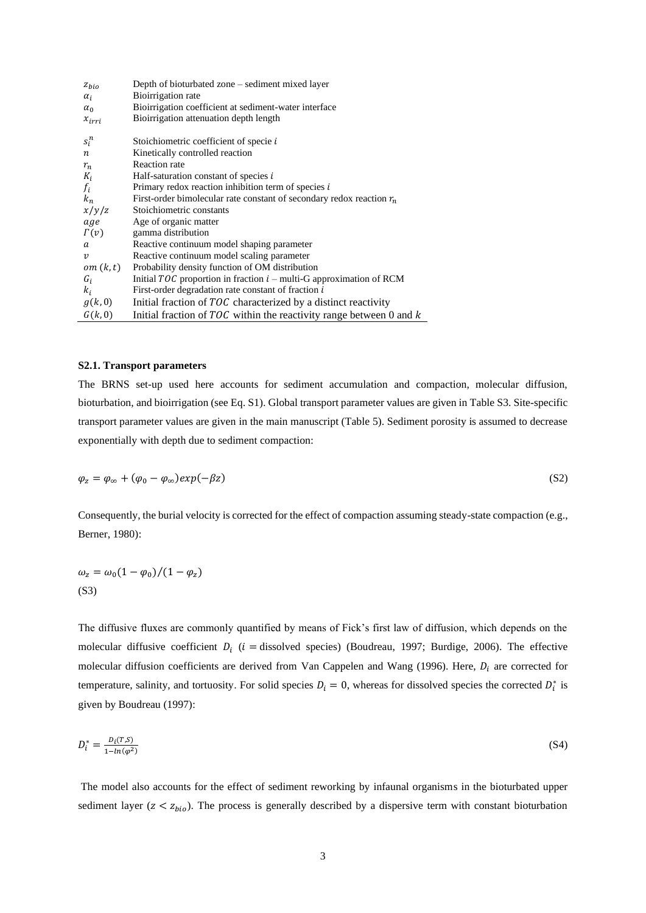| $z_{bio}$               | Depth of bioturbated zone – sediment mixed layer                        |
|-------------------------|-------------------------------------------------------------------------|
| $\alpha_i$              | Bioirrigation rate                                                      |
| $\alpha_0$              | Bioirrigation coefficient at sediment-water interface                   |
| $x_{irri}$              | Bioirrigation attenuation depth length                                  |
| $s_i^n$                 | Stoichiometric coefficient of specie i                                  |
| $\boldsymbol{n}$        | Kinetically controlled reaction                                         |
| $r_n$                   | Reaction rate                                                           |
| $K_i$                   | Half-saturation constant of species i                                   |
| $f_i$                   | Primary redox reaction inhibition term of species $i$                   |
| $k_n$                   | First-order bimolecular rate constant of secondary redox reaction $r_n$ |
| x/y/z                   | Stoichiometric constants                                                |
| age                     | Age of organic matter                                                   |
| $\Gamma(v)$             | gamma distribution                                                      |
| a                       | Reactive continuum model shaping parameter                              |
| $\boldsymbol{\upsilon}$ | Reactive continuum model scaling parameter                              |
| om(k, t)                | Probability density function of OM distribution                         |
| $G_i$                   | Initial $TOC$ proportion in fraction $i$ – multi-G approximation of RCM |
| $k_i$                   | First-order degradation rate constant of fraction i                     |
| g(k,0)                  | Initial fraction of TOC characterized by a distinct reactivity          |
| G(k,0)                  | Initial fraction of $TOC$ within the reactivity range between 0 and $k$ |

#### **S2.1. Transport parameters**

The BRNS set-up used here accounts for sediment accumulation and compaction, molecular diffusion, bioturbation, and bioirrigation (see Eq. S1). Global transport parameter values are given in Table S3. Site-specific transport parameter values are given in the main manuscript (Table 5). Sediment porosity is assumed to decrease exponentially with depth due to sediment compaction:

$$
\varphi_z = \varphi_\infty + (\varphi_0 - \varphi_\infty) exp(-\beta z) \tag{S2}
$$

Consequently, the burial velocity is corrected for the effect of compaction assuming steady-state compaction (e.g., Berner, 1980):

$$
\omega_z = \omega_0 (1 - \varphi_0)/(1 - \varphi_z)
$$
\n(S3)

The diffusive fluxes are commonly quantified by means of Fick's first law of diffusion, which depends on the molecular diffusive coefficient  $D_i$  (*i* = dissolved species) (Boudreau, 1997; Burdige, 2006). The effective molecular diffusion coefficients are derived from Van Cappelen and Wang (1996). Here,  $D_i$  are corrected for temperature, salinity, and tortuosity. For solid species  $D_i = 0$ , whereas for dissolved species the corrected  $D_i^*$  is given by Boudreau (1997):

$$
D_i^* = \frac{D_i(T, S)}{1 - \ln(\varphi^2)}\tag{S4}
$$

The model also accounts for the effect of sediment reworking by infaunal organisms in the bioturbated upper sediment layer ( $z < z_{bio}$ ). The process is generally described by a dispersive term with constant bioturbation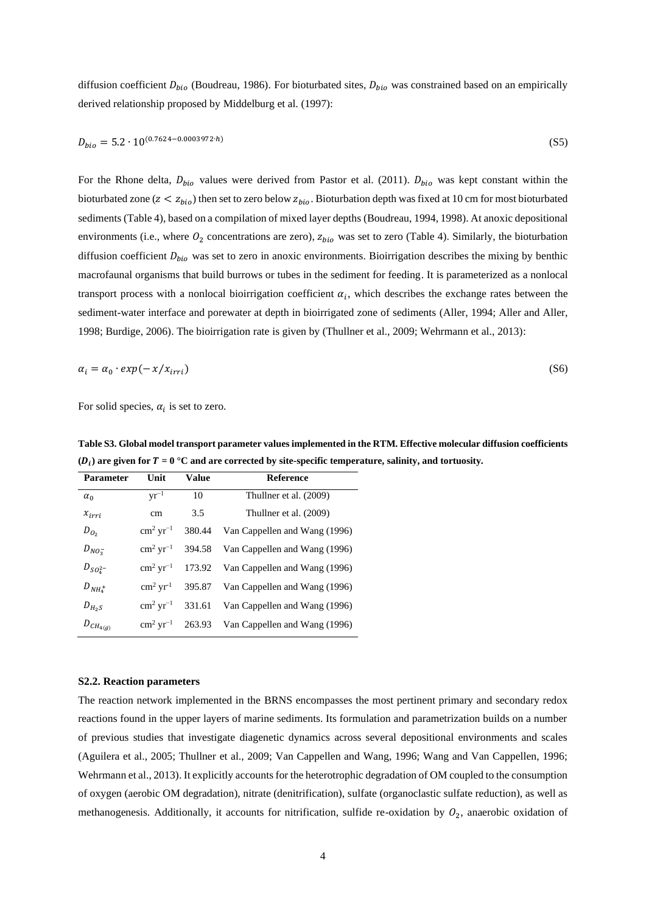diffusion coefficient  $D_{bio}$  (Boudreau, 1986). For bioturbated sites,  $D_{bio}$  was constrained based on an empirically derived relationship proposed by Middelburg et al. (1997):

$$
D_{bio} = 5.2 \cdot 10^{(0.7624 - 0.0003972 \cdot h)} \tag{S5}
$$

For the Rhone delta,  $D_{bio}$  values were derived from Pastor et al. (2011).  $D_{bio}$  was kept constant within the bioturbated zone ( $z < z_{bio}$ ) then set to zero below  $z_{bio}$ . Bioturbation depth was fixed at 10 cm for most bioturbated sediments (Table 4), based on a compilation of mixed layer depths (Boudreau, 1994, 1998). At anoxic depositional environments (i.e., where  $O_2$  concentrations are zero),  $z_{bio}$  was set to zero (Table 4). Similarly, the bioturbation diffusion coefficient  $D_{bio}$  was set to zero in anoxic environments. Bioirrigation describes the mixing by benthic macrofaunal organisms that build burrows or tubes in the sediment for feeding. It is parameterized as a nonlocal transport process with a nonlocal bioirrigation coefficient  $\alpha_i$ , which describes the exchange rates between the sediment-water interface and porewater at depth in bioirrigated zone of sediments (Aller, 1994; Aller and Aller, 1998; Burdige, 2006). The bioirrigation rate is given by (Thullner et al., 2009; Wehrmann et al., 2013):

$$
\alpha_i = \alpha_0 \cdot \exp(-x/x_{irri}) \tag{S6}
$$

For solid species,  $\alpha_i$  is set to zero.

**Table S3. Global model transport parameter values implemented in the RTM. Effective molecular diffusion coefficients**   $(D_i)$  are given for  $T = 0$  °C and are corrected by site-specific temperature, salinity, and tortuosity.

| Parameter       | Unit                       | Value  | <b>Reference</b>              |
|-----------------|----------------------------|--------|-------------------------------|
| $\alpha_0$      | $\rm{vr}^{-1}$             | 10     | Thullner et al. (2009)        |
| $x_{irri}$      | cm                         | 3.5    | Thullner et al. (2009)        |
| $D_{O_2}$       | $\rm cm^2~yr^{-1}$         | 380.44 | Van Cappellen and Wang (1996) |
| $D_{NO_3^-}$    | $\rm cm^2~yr^{-1}$         | 394.58 | Van Cappellen and Wang (1996) |
| $D_{SO_4^{2-}}$ | $\rm cm^2~vr^{-1}$         | 173.92 | Van Cappellen and Wang (1996) |
| $D_{NH_4^+}$    | $\text{cm}^2 \text{ yr}^1$ | 395.87 | Van Cappellen and Wang (1996) |
| $D_{H_2S}$      | $\rm cm^2~vr^{-1}$         | 331.61 | Van Cappellen and Wang (1996) |
| $D_{CH_{4(g)}}$ | $\rm cm^2 \, yr^{-1}$      | 263.93 | Van Cappellen and Wang (1996) |
|                 |                            |        |                               |

#### **S2.2. Reaction parameters**

The reaction network implemented in the BRNS encompasses the most pertinent primary and secondary redox reactions found in the upper layers of marine sediments. Its formulation and parametrization builds on a number of previous studies that investigate diagenetic dynamics across several depositional environments and scales (Aguilera et al., 2005; Thullner et al., 2009; Van Cappellen and Wang, 1996; Wang and Van Cappellen, 1996; Wehrmann et al., 2013). It explicitly accounts for the heterotrophic degradation of OM coupled to the consumption of oxygen (aerobic OM degradation), nitrate (denitrification), sulfate (organoclastic sulfate reduction), as well as methanogenesis. Additionally, it accounts for nitrification, sulfide re-oxidation by  $O_2$ , anaerobic oxidation of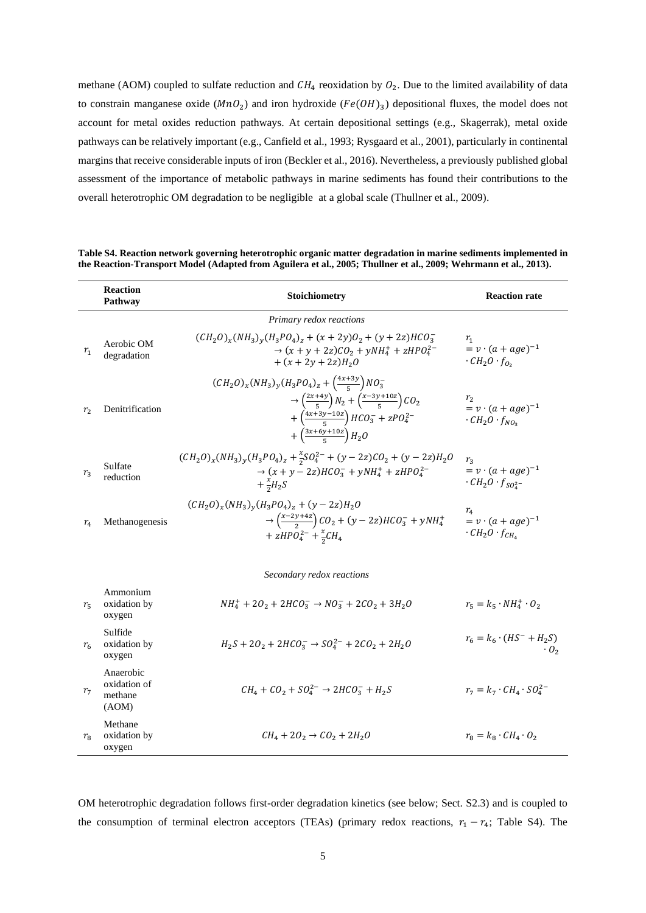methane (AOM) coupled to sulfate reduction and  $CH_4$  reoxidation by  $O_2$ . Due to the limited availability of data to constrain manganese oxide  $(MnO<sub>2</sub>)$  and iron hydroxide  $(Fe(OH)<sub>3</sub>)$  depositional fluxes, the model does not account for metal oxides reduction pathways. At certain depositional settings (e.g., Skagerrak), metal oxide pathways can be relatively important (e.g., Canfield et al., 1993; Rysgaard et al., 2001), particularly in continental margins that receive considerable inputs of iron (Beckler et al., 2016). Nevertheless, a previously published global assessment of the importance of metabolic pathways in marine sediments has found their contributions to the overall heterotrophic OM degradation to be negligible at a global scale (Thullner et al., 2009).

**Reaction Pathway Pathway Pathway Pathway Reaction rate** *Primary redox reactions*  $r_1$ Aerobic OM degradation  $(CH_2O)_x(NH_3)_y(H_3PO_4)_z + (x+2y)O_2 + (y+2z)HCO_3^ \rightarrow$   $(x + y + 2z)CO<sub>2</sub> + yNH<sub>4</sub><sup>+</sup> + zHPO<sub>4</sub><sup>2-</sup>$ +  $(x + 2y + 2z)H_2O$  $r<sub>1</sub>$  $= v \cdot (a + age)^{-1}$  $\cdot$   $CH_2O \cdot f_{O_2}$  $r_2$  Denitrification  $(CH_2O)_x(NH_3)_y(H_3PO_4)_z + \left(\frac{4x+3y}{5}\right)$  $\frac{^{+3y}}{^{5}}$ ) NO<sub>3</sub>  $\rightarrow$   $\left(\frac{2x+4y}{5}\right)$  $\frac{+4y}{5}$ )  $N_2 + \left(\frac{x-3y+10z}{5}\right)$  $\left(\frac{\sqrt{1+102}}{5}\right)$ CO<sub>2</sub>  $+\left(\frac{4x+3y-10z}{5}\right)$  $\frac{y-10z}{5}$  HCO<sub>3</sub> + zPO<sub>4</sub><sup>2</sup>  $+\left(\frac{3x+6y+10z}{5}\right)$  $\frac{f_{y+102}}{5}$   $H_2O$  $r<sub>2</sub>$  $= v \cdot (a + age)^{-1}$  $\cdot$  CH<sub>2</sub>O  $\cdot$  f<sub>NO<sub>3</sub></sub>  $r<sub>3</sub>$ Sulfate reduction  $(CH_2O)_x(NH_3)_y(H_3PO_4)_z + \frac{x}{2}$  $\frac{x}{2}SO_4^{2-} + (y - 2z)CO_2 + (y - 2z)H_2O$  $\rightarrow$   $(x + y - 2z)HCO<sub>3</sub><sup>-</sup> + yNH<sub>4</sub><sup>+</sup> + zHPO<sub>4</sub><sup>2</sup>$  $+\frac{x}{2}$  $\frac{\lambda}{2}H_2S$  $r_3$  $= v \cdot (a + age)^{-1}$  $\cdot$   $CH_2O \cdot f_{SO_4^{2-}}$  $r_4$  Methanogenesis  $(CH_2O)_x(NH_3)_y(H_3PO_4)_z + (y-2z)H_2O$  $\rightarrow \left(\frac{x-2y+4z}{2}\right)$  $\left(\frac{y+4z}{2}\right)CO_2 + (y-2z)HCO_3^- + yNH_4^+$  $+ zHPO_4^{2-} + \frac{x}{2}$  $\frac{\lambda}{2}CH_4$  $r<sub>4</sub>$  $= v \cdot (a + age)^{-1}$  $\cdot$   $CH_2O \cdot f_{CH_4}$ *Secondary redox reactions*  $r_{5}$ Ammonium oxidation by oxygen  $NH_4^+ + 2O_2 + 2HCO_3^- \rightarrow NO_3^- + 2CO_2 + 3H_2O$   $r_5 = k_5 \cdot NH_4^+$  $r_5 = k_5 \cdot NH_4^+ \cdot O_2$  $r_{6}$ Sulfide oxidation by oxygen  $H_2S + 2O_2 + 2HCO_3^- \rightarrow SO_4^{2-} + 2CO_2 + 2H_2O$  $r_6 = k_6 \cdot (HS^- + H_2S)$  $\cdot$  0<sub>2</sub>  $r<sub>7</sub>$ Anaerobic oxidation of methane (AOM)  $CH_4 + CO_2 + SO_4^{2-} \rightarrow 2HCO_3^$  $r_7 = k_7 \cdot CH_4 \cdot SO_4^{2-}$ 

| Table S4. Reaction network governing heterotrophic organic matter degradation in marine sediments implemented in |  |
|------------------------------------------------------------------------------------------------------------------|--|
| the Reaction-Transport Model (Adapted from Aguilera et al., 2005; Thullner et al., 2009; Wehrmann et al., 2013). |  |

OM heterotrophic degradation follows first-order degradation kinetics (see below; Sect. S2.3) and is coupled to the consumption of terminal electron acceptors (TEAs) (primary redox reactions,  $r_1 - r_4$ ; Table S4). The

 $CH_4 + 2O_2 \rightarrow CO_2 + 2H_2O$   $r_8 = k_8 \cdot CH_4 \cdot O_2$ 

 $r_{\rm g}$ 

Methane oxidation by oxygen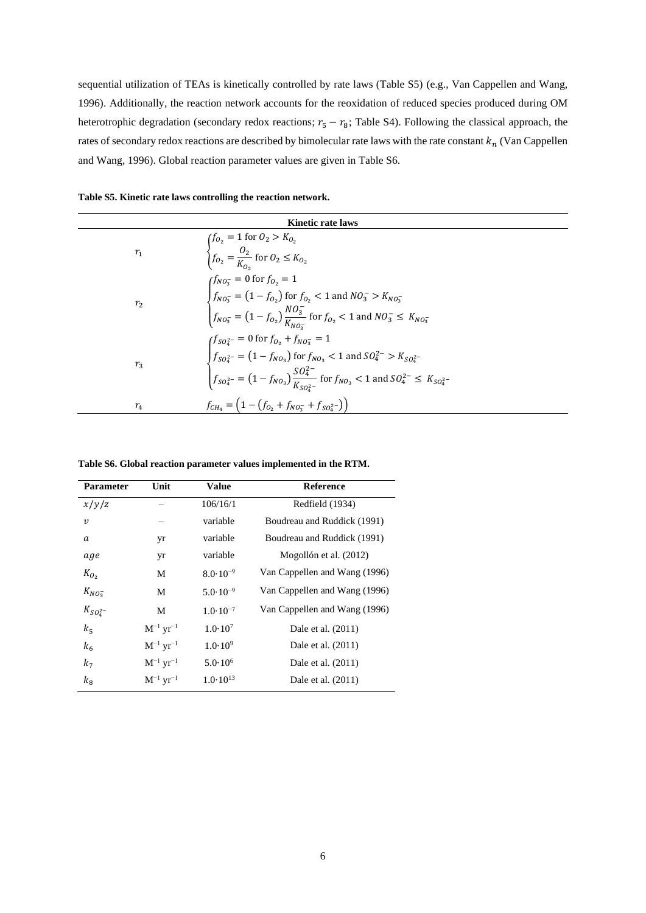sequential utilization of TEAs is kinetically controlled by rate laws (Table S5) (e.g., Van Cappellen and Wang, 1996). Additionally, the reaction network accounts for the reoxidation of reduced species produced during OM heterotrophic degradation (secondary redox reactions;  $r_5 - r_8$ ; Table S4). Following the classical approach, the rates of secondary redox reactions are described by bimolecular rate laws with the rate constant  $k_n$  (Van Cappellen and Wang, 1996). Global reaction parameter values are given in Table S6.

| Table S5. Kinetic rate laws controlling the reaction network. |  |  |  |  |  |  |  |  |  |  |  |
|---------------------------------------------------------------|--|--|--|--|--|--|--|--|--|--|--|
|---------------------------------------------------------------|--|--|--|--|--|--|--|--|--|--|--|

| <b>Kinetic rate laws</b> |                                                                                                                                                                                                                                                                         |  |  |  |  |
|--------------------------|-------------------------------------------------------------------------------------------------------------------------------------------------------------------------------------------------------------------------------------------------------------------------|--|--|--|--|
| $r_{1}$                  | $\begin{cases} f_{O_2} = 1 \; \text{for} \; O_2 > K_{O_2} \\ f_{O_2} = \frac{O_2}{K_{O_2}} \; \text{for} \; O_2 \leq K_{O_2} \end{cases}$                                                                                                                               |  |  |  |  |
| r <sub>2</sub>           | $\int_{fNO_3^-}^{fNO_3^-} = 0$ for $f_{O_2} = 1$<br>$\int_{fNO_3^-}^{fNO_3^-} = (1 - f_{O_2})$ for $f_{O_2} < 1$ and $NO_3^- > K_{NO_3^-}$<br>$\int_{fNO_3^-}^{fNO_3^-} = (1 - f_{O_2}) \frac{NO_3^-}{K_{NO_3^-}}$ for $f_{O_2} < 1$ and $NO_3^- \le K_{NO_3^-}$        |  |  |  |  |
| $r_3$                    | $\int f_{SO_4^{2-}} = 0$ for $f_{O_2} + f_{NO_3^-} = 1$<br>$f_{SO_4^{2-}} = (1 - f_{NO_3})$ for $f_{NO_3} < 1$ and $SO_4^{2-} > K_{SO_4^{2-}}$<br>$f_{SO_4^{2-}} = (1 - f_{NO_3}) \frac{SO_4^{2-}}{K_{SO_4^{2-}}}$ for $f_{NO_3} < 1$ and $SO_4^{2-} \le K_{SO_4^{2-}}$ |  |  |  |  |
| $r_{4}$                  | $f_{CH_4} = (1 - (f_{O_2} + f_{NO_3^-} + f_{SO_4^2^-}))$                                                                                                                                                                                                                |  |  |  |  |

**Table S6. Global reaction parameter values implemented in the RTM.**

| <b>Parameter</b> | Unit                      | Value               | <b>Reference</b>              |
|------------------|---------------------------|---------------------|-------------------------------|
| x/y/z            |                           | 106/16/1            | Redfield (1934)               |
| $\boldsymbol{v}$ |                           | variable            | Boudreau and Ruddick (1991)   |
| a                | yr                        | variable            | Boudreau and Ruddick (1991)   |
| age              | yr                        | variable            | Mogollón et al. (2012)        |
| $K_{O_2}$        | М                         | $8.0 \cdot 10^{-9}$ | Van Cappellen and Wang (1996) |
| $K_{NO_3^-}$     | М                         | $5.0 \cdot 10^{-9}$ | Van Cappellen and Wang (1996) |
| $K_{SO_4^{2-}}$  | М                         | $1.0 \cdot 10^{-7}$ | Van Cappellen and Wang (1996) |
| $k_{5}$          | $M^{-1}$ yr <sup>-1</sup> | $1.0 \cdot 10^{7}$  | Dale et al. (2011)            |
| $k_{6}$          | $M^{-1} yr^{-1}$          | $1.0 \cdot 10^{9}$  | Dale et al. (2011)            |
| k <sub>7</sub>   | $M^{-1}$ yr <sup>-1</sup> | $5.0 \cdot 10^6$    | Dale et al. (2011)            |
| $k_{\rm B}$      | $M^{-1}$ yr <sup>-1</sup> | $1.0 \cdot 10^{13}$ | Dale et al. (2011)            |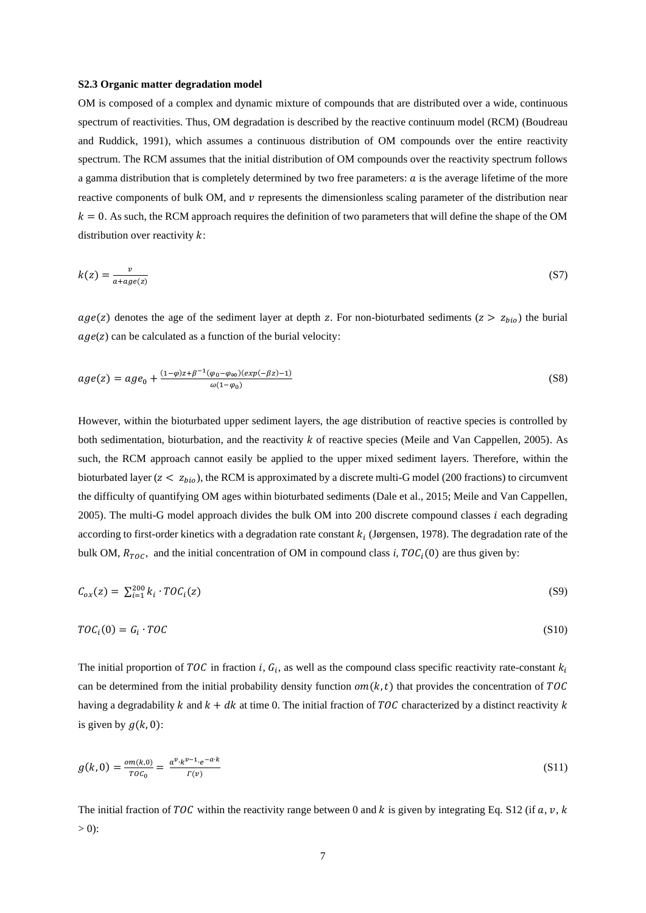#### **S2.3 Organic matter degradation model**

OM is composed of a complex and dynamic mixture of compounds that are distributed over a wide, continuous spectrum of reactivities. Thus, OM degradation is described by the reactive continuum model (RCM) (Boudreau and Ruddick, 1991), which assumes a continuous distribution of OM compounds over the entire reactivity spectrum. The RCM assumes that the initial distribution of OM compounds over the reactivity spectrum follows a gamma distribution that is completely determined by two free parameters:  $\alpha$  is the average lifetime of the more reactive components of bulk OM, and  $\nu$  represents the dimensionless scaling parameter of the distribution near  $k = 0$ . As such, the RCM approach requires the definition of two parameters that will define the shape of the OM distribution over reactivity  $k$ :

$$
k(z) = \frac{v}{a + age(z)}\tag{S7}
$$

 $age(z)$  denotes the age of the sediment layer at depth z. For non-bioturbated sediments ( $z > z_{bio}$ ) the burial  $age(z)$  can be calculated as a function of the burial velocity:

$$
age(z) = age_0 + \frac{(1-\varphi)z + \beta^{-1}(\varphi_0 - \varphi_\infty)(exp(-\beta z) - 1)}{\omega(1-\varphi_0)}
$$
\n(S8)

However, within the bioturbated upper sediment layers, the age distribution of reactive species is controlled by both sedimentation, bioturbation, and the reactivity  $k$  of reactive species (Meile and Van Cappellen, 2005). As such, the RCM approach cannot easily be applied to the upper mixed sediment layers. Therefore, within the bioturbated layer ( $z < z_{bio}$ ), the RCM is approximated by a discrete multi-G model (200 fractions) to circumvent the difficulty of quantifying OM ages within bioturbated sediments (Dale et al., 2015; Meile and Van Cappellen, 2005). The multi-G model approach divides the bulk OM into 200 discrete compound classes  $i$  each degrading according to first-order kinetics with a degradation rate constant  $k_i$  (Jørgensen, 1978). The degradation rate of the bulk OM,  $R_{TOC}$ , and the initial concentration of OM in compound class *i*,  $TOC<sub>i</sub>(0)$  are thus given by:

$$
C_{ox}(z) = \sum_{i=1}^{200} k_i \cdot T O C_i(z) \tag{S9}
$$

$$
TOC_i(0) = G_i \cdot TOC \tag{S10}
$$

The initial proportion of TOC in fraction *i*,  $G_i$ , as well as the compound class specific reactivity rate-constant  $k_i$ can be determined from the initial probability density function  $om(k, t)$  that provides the concentration of TOC having a degradability k and  $k + dk$  at time 0. The initial fraction of TOC characterized by a distinct reactivity k is given by  $g(k, 0)$ :

$$
g(k,0) = \frac{om(k,0)}{TOC_0} = \frac{a^v \cdot k^{v-1} \cdot e^{-a \cdot k}}{\Gamma(v)}
$$
(S11)

The initial fraction of TOC within the reactivity range between 0 and k is given by integrating Eq. S12 (if  $a, v, k$  $> 0$ :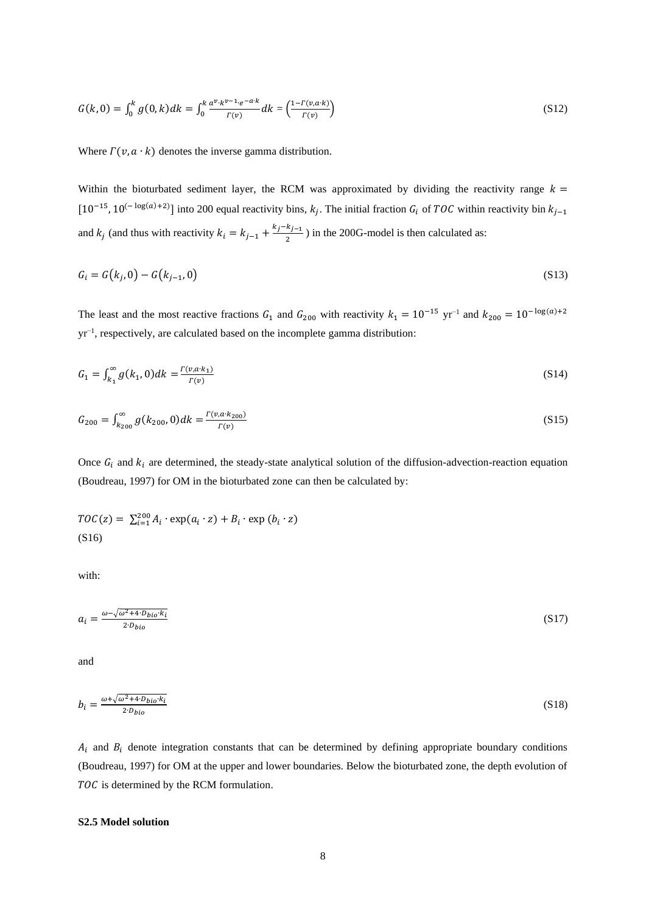$$
G(k,0) = \int_0^k g(0,k)dk = \int_0^k \frac{a^v \cdot k^{v-1} \cdot e^{-a \cdot k}}{r(v)} dk = \left(\frac{1 - r(v, a \cdot k)}{r(v)}\right)
$$
(S12)

Where  $\Gamma(\nu, a \cdot k)$  denotes the inverse gamma distribution.

Within the bioturbated sediment layer, the RCM was approximated by dividing the reactivity range  $k =$ [10<sup>-15</sup>, 10<sup>(-log(a)+2)</sup>] into 200 equal reactivity bins,  $k_j$ . The initial fraction  $G_i$  of TOC within reactivity bin  $k_{j-1}$ and  $k_j$  (and thus with reactivity  $k_i = k_{j-1} + \frac{k_j - k_{j-1}}{2}$  $\frac{\pi f - 1}{2}$ ) in the 200G-model is then calculated as:

$$
G_i = G(k_j, 0) - G(k_{j-1}, 0)
$$
\n(S13)

The least and the most reactive fractions  $G_1$  and  $G_{200}$  with reactivity  $k_1 = 10^{-15}$  yr<sup>-1</sup> and  $k_{200} = 10^{-\log(a)+2}$ yr<sup>-1</sup>, respectively, are calculated based on the incomplete gamma distribution:

$$
G_1 = \int_{k_1}^{\infty} g(k_1, 0) dk = \frac{F(\nu, a \cdot k_1)}{F(\nu)}
$$
(S14)

$$
G_{200} = \int_{k_{200}}^{\infty} g(k_{200}, 0) dk = \frac{\Gamma(\nu, a \cdot k_{200})}{\Gamma(\nu)}
$$
(S15)

Once  $G_i$  and  $k_i$  are determined, the steady-state analytical solution of the diffusion-advection-reaction equation (Boudreau, 1997) for OM in the bioturbated zone can then be calculated by:

$$
TOC(z) = \sum_{i=1}^{200} A_i \cdot \exp(a_i \cdot z) + B_i \cdot \exp(b_i \cdot z)
$$
\n(S16)

with:

$$
a_i = \frac{\omega - \sqrt{\omega^2 + 4 \cdot D_{bio} \cdot k_i}}{2 \cdot D_{bio}} \tag{S17}
$$

and

$$
b_i = \frac{\omega + \sqrt{\omega^2 + 4 \cdot D_{bio} \cdot k_i}}{2 \cdot D_{bio}} \tag{S18}
$$

 $A_i$  and  $B_i$  denote integration constants that can be determined by defining appropriate boundary conditions (Boudreau, 1997) for OM at the upper and lower boundaries. Below the bioturbated zone, the depth evolution of TOC is determined by the RCM formulation.

#### **S2.5 Model solution**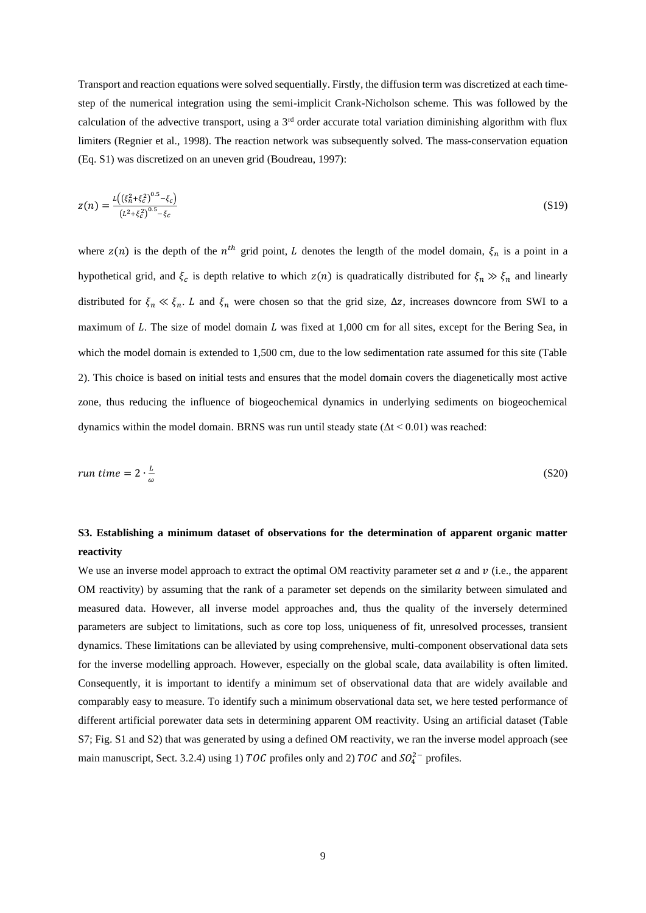Transport and reaction equations were solved sequentially. Firstly, the diffusion term was discretized at each timestep of the numerical integration using the semi-implicit Crank-Nicholson scheme. This was followed by the calculation of the advective transport, using a  $3<sup>rd</sup>$  order accurate total variation diminishing algorithm with flux limiters (Regnier et al., 1998). The reaction network was subsequently solved. The mass-conservation equation (Eq. S1) was discretized on an uneven grid (Boudreau, 1997):

$$
z(n) = \frac{\iota\left((\xi_n^2 + \xi_c^2)^{0.5} - \xi_c\right)}{\left(\iota^2 + \xi_c^2\right)^{0.5} - \xi_c}
$$
(S19)

where  $z(n)$  is the depth of the  $n^{th}$  grid point, L denotes the length of the model domain,  $\xi_n$  is a point in a hypothetical grid, and  $\xi_c$  is depth relative to which  $z(n)$  is quadratically distributed for  $\xi_n \gg \xi_n$  and linearly distributed for  $\xi_n \ll \xi_n$ . L and  $\xi_n$  were chosen so that the grid size,  $\Delta z$ , increases downcore from SWI to a maximum of  $L$ . The size of model domain  $L$  was fixed at 1,000 cm for all sites, except for the Bering Sea, in which the model domain is extended to 1,500 cm, due to the low sedimentation rate assumed for this site (Table 2). This choice is based on initial tests and ensures that the model domain covers the diagenetically most active zone, thus reducing the influence of biogeochemical dynamics in underlying sediments on biogeochemical dynamics within the model domain. BRNS was run until steady state ( $\Delta t$  < 0.01) was reached:

$$
run\ time = 2 \cdot \frac{L}{\omega} \tag{S20}
$$

### **S3. Establishing a minimum dataset of observations for the determination of apparent organic matter reactivity**

We use an inverse model approach to extract the optimal OM reactivity parameter set  $\alpha$  and  $\nu$  (i.e., the apparent OM reactivity) by assuming that the rank of a parameter set depends on the similarity between simulated and measured data. However, all inverse model approaches and, thus the quality of the inversely determined parameters are subject to limitations, such as core top loss, uniqueness of fit, unresolved processes, transient dynamics. These limitations can be alleviated by using comprehensive, multi-component observational data sets for the inverse modelling approach. However, especially on the global scale, data availability is often limited. Consequently, it is important to identify a minimum set of observational data that are widely available and comparably easy to measure. To identify such a minimum observational data set, we here tested performance of different artificial porewater data sets in determining apparent OM reactivity. Using an artificial dataset (Table S7; Fig. S1 and S2) that was generated by using a defined OM reactivity, we ran the inverse model approach (see main manuscript, Sect. 3.2.4) using 1) TOC profiles only and 2) TOC and  $SO_4^{2-}$  profiles.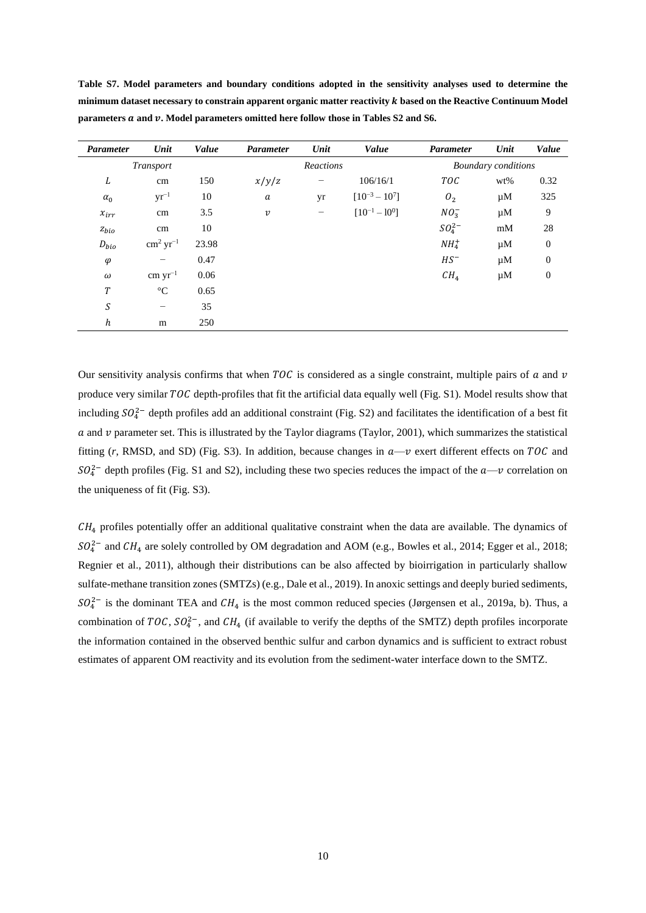| <b>Parameter</b> | Unit                     | Value | <b>Parameter</b> | Unit      | Value                | <b>Parameter</b> | Unit                       | Value            |  |
|------------------|--------------------------|-------|------------------|-----------|----------------------|------------------|----------------------------|------------------|--|
| <b>Transport</b> |                          |       |                  | Reactions |                      |                  | <b>Boundary</b> conditions |                  |  |
| L                | cm                       | 150   | x/y/z            | -         | 106/16/1             | TOC              | wt%                        | 0.32             |  |
| $\alpha_0$       | $yr^{-1}$                | 10    | a                | yr        | $[10^{-3} - 10^{7}]$ | O <sub>2</sub>   | $\mu$ M                    | 325              |  |
| $x_{irr}$        | cm                       | 3.5   | $\boldsymbol{v}$ | -         | $[10^{-1} - 10^{0}]$ | $NO_3^-$         | $\mu$ M                    | 9                |  |
| $z_{bio}$        | cm                       | 10    |                  |           |                      | $SO_4^{2-}$      | mM                         | 28               |  |
| $D_{bio}$        | $\rm cm^2~yr^{-1}$       | 23.98 |                  |           |                      | $NH4+$           | $\mu$ M                    | $\boldsymbol{0}$ |  |
| $\varphi$        |                          | 0.47  |                  |           |                      | $HS^-$           | $\mu$ M                    | $\mathbf{0}$     |  |
| $\omega$         | $cm \, yr^{-1}$          | 0.06  |                  |           |                      | CH <sub>4</sub>  | $\mu$ M                    | $\mathbf{0}$     |  |
| T                | $\rm ^{\circ}C$          | 0.65  |                  |           |                      |                  |                            |                  |  |
| $\boldsymbol{S}$ | $\overline{\phantom{0}}$ | 35    |                  |           |                      |                  |                            |                  |  |
| h                | m                        | 250   |                  |           |                      |                  |                            |                  |  |

**Table S7. Model parameters and boundary conditions adopted in the sensitivity analyses used to determine the minimum dataset necessary to constrain apparent organic matter reactivity based on the Reactive Continuum Model parameters and . Model parameters omitted here follow those in Tables S2 and S6.**

Our sensitivity analysis confirms that when TOC is considered as a single constraint, multiple pairs of  $\alpha$  and  $\nu$ produce very similar TOC depth-profiles that fit the artificial data equally well (Fig. S1). Model results show that including  $SO_4^{2-}$  depth profiles add an additional constraint (Fig. S2) and facilitates the identification of a best fit  $\alpha$  and  $\nu$  parameter set. This is illustrated by the Taylor diagrams (Taylor, 2001), which summarizes the statistical fitting  $(r, RMSD,$  and SD) (Fig. S3). In addition, because changes in  $a$ - $v$  exert different effects on  $TOC$  and  $SO_4^{2-}$  depth profiles (Fig. S1 and S2), including these two species reduces the impact of the  $a \rightarrow v$  correlation on the uniqueness of fit (Fig. S3).

 $CH<sub>4</sub>$  profiles potentially offer an additional qualitative constraint when the data are available. The dynamics of  $SO_4^{2-}$  and  $CH_4$  are solely controlled by OM degradation and AOM (e.g., Bowles et al., 2014; Egger et al., 2018; Regnier et al., 2011), although their distributions can be also affected by bioirrigation in particularly shallow sulfate-methane transition zones (SMTZs) (e.g., Dale et al., 2019). In anoxic settings and deeply buried sediments,  $SO_4^{2-}$  is the dominant TEA and  $CH_4$  is the most common reduced species (Jørgensen et al., 2019a, b). Thus, a combination of TOC,  $SO_4^{2-}$ , and  $CH_4$  (if available to verify the depths of the SMTZ) depth profiles incorporate the information contained in the observed benthic sulfur and carbon dynamics and is sufficient to extract robust estimates of apparent OM reactivity and its evolution from the sediment-water interface down to the SMTZ.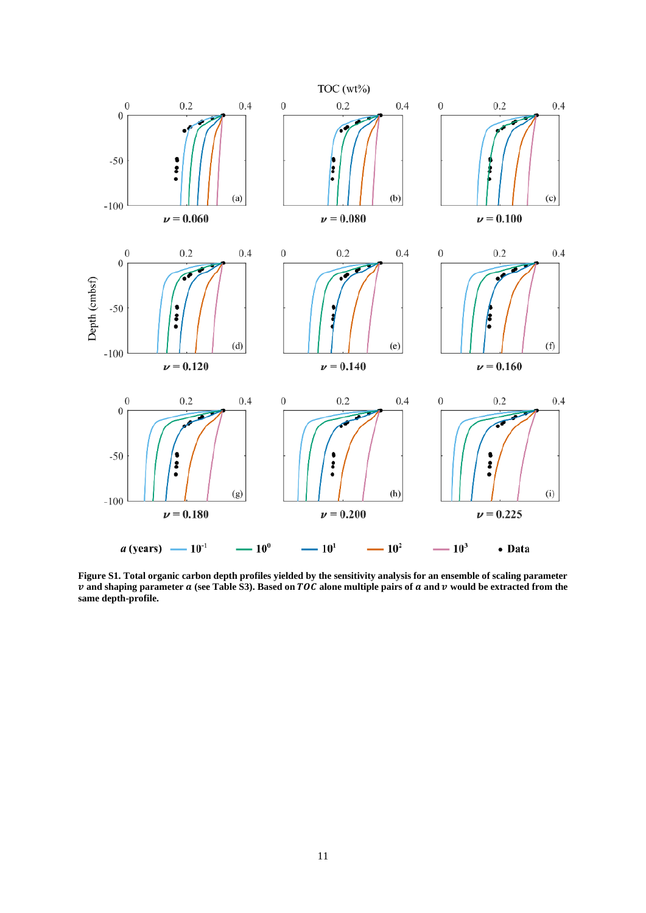

**Figure S1. Total organic carbon depth profiles yielded by the sensitivity analysis for an ensemble of scaling parameter**  *v* and shaping parameter  $a$  (see Table S3). Based on TOC alone multiple pairs of  $a$  and  $v$  would be extracted from the **same depth-profile.**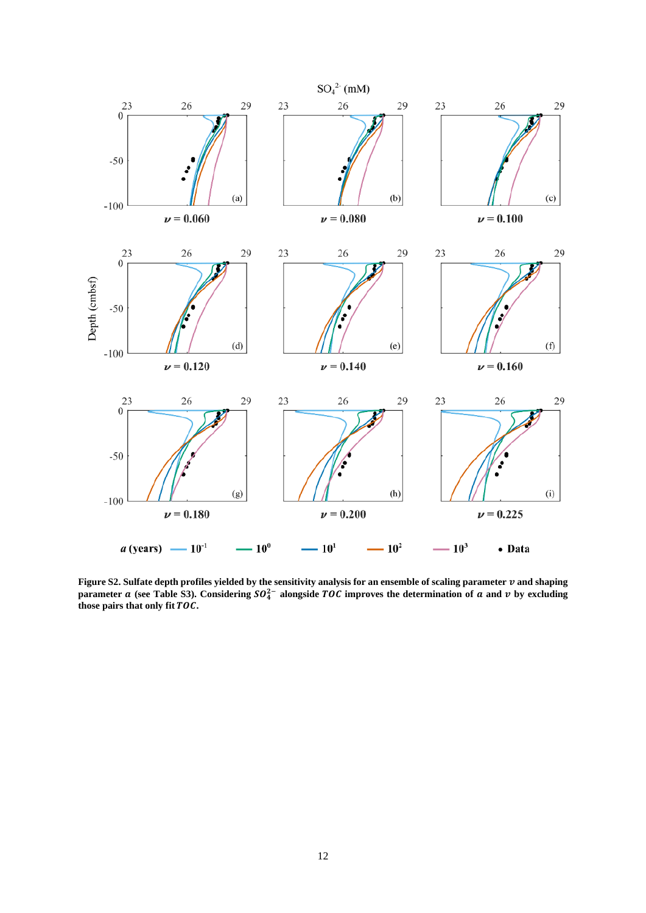

**Figure S2.** Sulfate depth profiles yielded by the sensitivity analysis for an ensemble of scaling parameter  $v$  and shaping **parameter a** (see Table S3). Considering  $SO_4^{2-}$  alongside TOC improves the determination of **a** and  $v$  by excluding **those pairs that only fit .**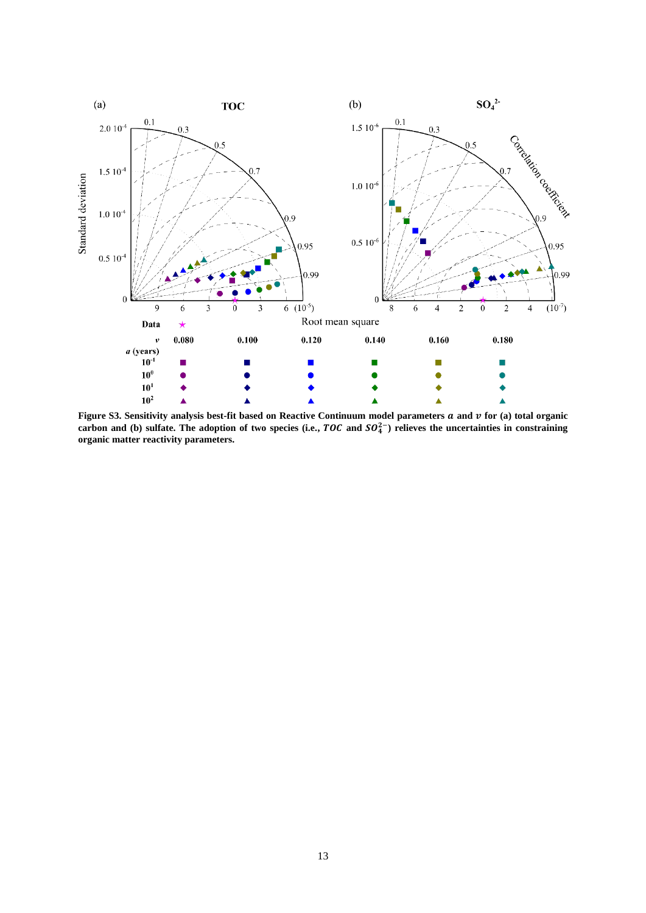

Figure S3. Sensitivity analysis best-fit based on Reactive Continuum model parameters  $a$  and  $v$  for (a) total organic carbon and (b) sulfate. The adoption of two species (i.e.,  $TOC$  and  $SO_4^{2-}$ ) relieves the uncertainties in constraining **organic matter reactivity parameters.**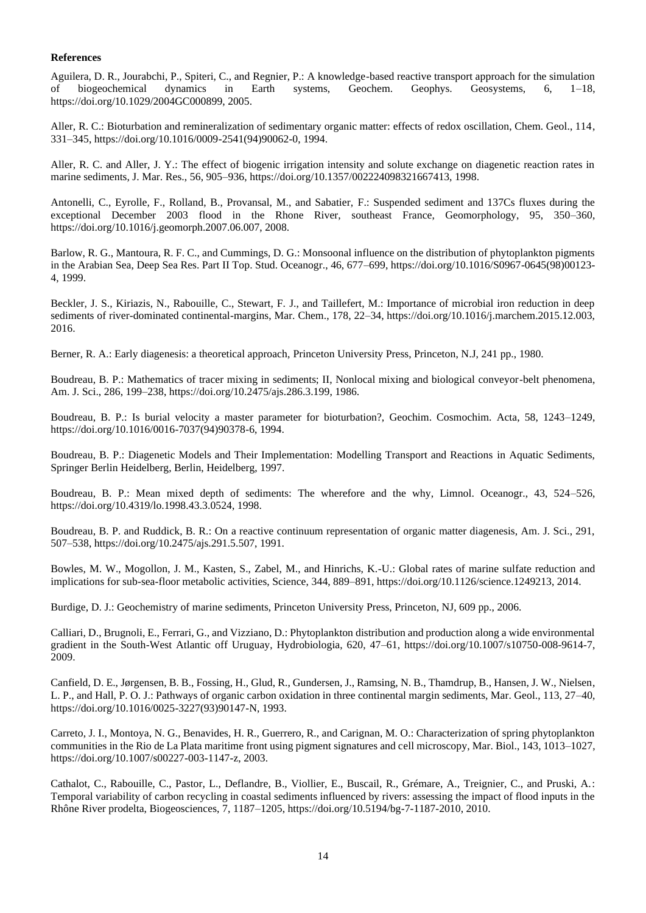#### **References**

Aguilera, D. R., Jourabchi, P., Spiteri, C., and Regnier, P.: A knowledge-based reactive transport approach for the simulation of biogeochemical dynamics in Earth systems, Geochem. Geophys. Geosystems, 6, 1–18, https://doi.org/10.1029/2004GC000899, 2005.

Aller, R. C.: Bioturbation and remineralization of sedimentary organic matter: effects of redox oscillation, Chem. Geol., 114, 331–345, https://doi.org/10.1016/0009-2541(94)90062-0, 1994.

Aller, R. C. and Aller, J. Y.: The effect of biogenic irrigation intensity and solute exchange on diagenetic reaction rates in marine sediments, J. Mar. Res., 56, 905–936, https://doi.org/10.1357/002224098321667413, 1998.

Antonelli, C., Eyrolle, F., Rolland, B., Provansal, M., and Sabatier, F.: Suspended sediment and 137Cs fluxes during the exceptional December 2003 flood in the Rhone River, southeast France, Geomorphology, 95, 350–360, https://doi.org/10.1016/j.geomorph.2007.06.007, 2008.

Barlow, R. G., Mantoura, R. F. C., and Cummings, D. G.: Monsoonal influence on the distribution of phytoplankton pigments in the Arabian Sea, Deep Sea Res. Part II Top. Stud. Oceanogr., 46, 677–699, https://doi.org/10.1016/S0967-0645(98)00123- 4, 1999.

Beckler, J. S., Kiriazis, N., Rabouille, C., Stewart, F. J., and Taillefert, M.: Importance of microbial iron reduction in deep sediments of river-dominated continental-margins, Mar. Chem., 178, 22–34, https://doi.org/10.1016/j.marchem.2015.12.003, 2016.

Berner, R. A.: Early diagenesis: a theoretical approach, Princeton University Press, Princeton, N.J, 241 pp., 1980.

Boudreau, B. P.: Mathematics of tracer mixing in sediments; II, Nonlocal mixing and biological conveyor-belt phenomena, Am. J. Sci., 286, 199–238, https://doi.org/10.2475/ajs.286.3.199, 1986.

Boudreau, B. P.: Is burial velocity a master parameter for bioturbation?, Geochim. Cosmochim. Acta, 58, 1243–1249, https://doi.org/10.1016/0016-7037(94)90378-6, 1994.

Boudreau, B. P.: Diagenetic Models and Their Implementation: Modelling Transport and Reactions in Aquatic Sediments, Springer Berlin Heidelberg, Berlin, Heidelberg, 1997.

Boudreau, B. P.: Mean mixed depth of sediments: The wherefore and the why, Limnol. Oceanogr., 43, 524–526, https://doi.org/10.4319/lo.1998.43.3.0524, 1998.

Boudreau, B. P. and Ruddick, B. R.: On a reactive continuum representation of organic matter diagenesis, Am. J. Sci., 291, 507–538, https://doi.org/10.2475/ajs.291.5.507, 1991.

Bowles, M. W., Mogollon, J. M., Kasten, S., Zabel, M., and Hinrichs, K.-U.: Global rates of marine sulfate reduction and implications for sub-sea-floor metabolic activities, Science, 344, 889–891, https://doi.org/10.1126/science.1249213, 2014.

Burdige, D. J.: Geochemistry of marine sediments, Princeton University Press, Princeton, NJ, 609 pp., 2006.

Calliari, D., Brugnoli, E., Ferrari, G., and Vizziano, D.: Phytoplankton distribution and production along a wide environmental gradient in the South-West Atlantic off Uruguay, Hydrobiologia, 620, 47–61, https://doi.org/10.1007/s10750-008-9614-7, 2009.

Canfield, D. E., Jørgensen, B. B., Fossing, H., Glud, R., Gundersen, J., Ramsing, N. B., Thamdrup, B., Hansen, J. W., Nielsen, L. P., and Hall, P. O. J.: Pathways of organic carbon oxidation in three continental margin sediments, Mar. Geol., 113, 27–40, https://doi.org/10.1016/0025-3227(93)90147-N, 1993.

Carreto, J. I., Montoya, N. G., Benavides, H. R., Guerrero, R., and Carignan, M. O.: Characterization of spring phytoplankton communities in the Rio de La Plata maritime front using pigment signatures and cell microscopy, Mar. Biol., 143, 1013–1027, https://doi.org/10.1007/s00227-003-1147-z, 2003.

Cathalot, C., Rabouille, C., Pastor, L., Deflandre, B., Viollier, E., Buscail, R., Grémare, A., Treignier, C., and Pruski, A.: Temporal variability of carbon recycling in coastal sediments influenced by rivers: assessing the impact of flood inputs in the Rhône River prodelta, Biogeosciences, 7, 1187–1205, https://doi.org/10.5194/bg-7-1187-2010, 2010.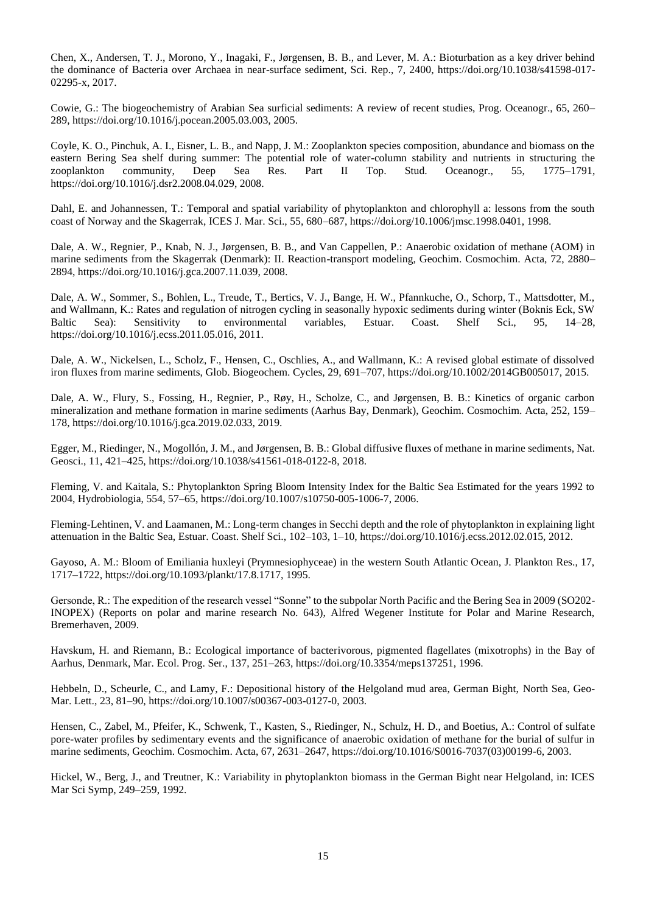Chen, X., Andersen, T. J., Morono, Y., Inagaki, F., Jørgensen, B. B., and Lever, M. A.: Bioturbation as a key driver behind the dominance of Bacteria over Archaea in near-surface sediment, Sci. Rep., 7, 2400, https://doi.org/10.1038/s41598-017- 02295-x, 2017.

Cowie, G.: The biogeochemistry of Arabian Sea surficial sediments: A review of recent studies, Prog. Oceanogr., 65, 260– 289, https://doi.org/10.1016/j.pocean.2005.03.003, 2005.

Coyle, K. O., Pinchuk, A. I., Eisner, L. B., and Napp, J. M.: Zooplankton species composition, abundance and biomass on the eastern Bering Sea shelf during summer: The potential role of water-column stability and nutrients in structuring the zooplankton community, Deep Sea Res. Part II Top. Stud. Oceanogr., 55, 1775–1791, https://doi.org/10.1016/j.dsr2.2008.04.029, 2008.

Dahl, E. and Johannessen, T.: Temporal and spatial variability of phytoplankton and chlorophyll a: lessons from the south coast of Norway and the Skagerrak, ICES J. Mar. Sci., 55, 680–687, https://doi.org/10.1006/jmsc.1998.0401, 1998.

Dale, A. W., Regnier, P., Knab, N. J., Jørgensen, B. B., and Van Cappellen, P.: Anaerobic oxidation of methane (AOM) in marine sediments from the Skagerrak (Denmark): II. Reaction-transport modeling, Geochim. Cosmochim. Acta, 72, 2880– 2894, https://doi.org/10.1016/j.gca.2007.11.039, 2008.

Dale, A. W., Sommer, S., Bohlen, L., Treude, T., Bertics, V. J., Bange, H. W., Pfannkuche, O., Schorp, T., Mattsdotter, M., and Wallmann, K.: Rates and regulation of nitrogen cycling in seasonally hypoxic sediments during winter (Boknis Eck, SW Baltic Sea): Sensitivity to environmental variables, Estuar. Coast. Shelf Sci., 95, 14–28, https://doi.org/10.1016/j.ecss.2011.05.016, 2011.

Dale, A. W., Nickelsen, L., Scholz, F., Hensen, C., Oschlies, A., and Wallmann, K.: A revised global estimate of dissolved iron fluxes from marine sediments, Glob. Biogeochem. Cycles, 29, 691–707, https://doi.org/10.1002/2014GB005017, 2015.

Dale, A. W., Flury, S., Fossing, H., Regnier, P., Røy, H., Scholze, C., and Jørgensen, B. B.: Kinetics of organic carbon mineralization and methane formation in marine sediments (Aarhus Bay, Denmark), Geochim. Cosmochim. Acta, 252, 159– 178, https://doi.org/10.1016/j.gca.2019.02.033, 2019.

Egger, M., Riedinger, N., Mogollón, J. M., and Jørgensen, B. B.: Global diffusive fluxes of methane in marine sediments, Nat. Geosci., 11, 421–425, https://doi.org/10.1038/s41561-018-0122-8, 2018.

Fleming, V. and Kaitala, S.: Phytoplankton Spring Bloom Intensity Index for the Baltic Sea Estimated for the years 1992 to 2004, Hydrobiologia, 554, 57–65, https://doi.org/10.1007/s10750-005-1006-7, 2006.

Fleming-Lehtinen, V. and Laamanen, M.: Long-term changes in Secchi depth and the role of phytoplankton in explaining light attenuation in the Baltic Sea, Estuar. Coast. Shelf Sci., 102–103, 1–10, https://doi.org/10.1016/j.ecss.2012.02.015, 2012.

Gayoso, A. M.: Bloom of Emiliania huxleyi (Prymnesiophyceae) in the western South Atlantic Ocean, J. Plankton Res., 17, 1717–1722, https://doi.org/10.1093/plankt/17.8.1717, 1995.

Gersonde, R.: The expedition of the research vessel "Sonne" to the subpolar North Pacific and the Bering Sea in 2009 (SO202- INOPEX) (Reports on polar and marine research No. 643), Alfred Wegener Institute for Polar and Marine Research, Bremerhaven, 2009.

Havskum, H. and Riemann, B.: Ecological importance of bacterivorous, pigmented flagellates (mixotrophs) in the Bay of Aarhus, Denmark, Mar. Ecol. Prog. Ser., 137, 251–263, https://doi.org/10.3354/meps137251, 1996.

Hebbeln, D., Scheurle, C., and Lamy, F.: Depositional history of the Helgoland mud area, German Bight, North Sea, Geo-Mar. Lett., 23, 81–90, https://doi.org/10.1007/s00367-003-0127-0, 2003.

Hensen, C., Zabel, M., Pfeifer, K., Schwenk, T., Kasten, S., Riedinger, N., Schulz, H. D., and Boetius, A.: Control of sulfate pore-water profiles by sedimentary events and the significance of anaerobic oxidation of methane for the burial of sulfur in marine sediments, Geochim. Cosmochim. Acta, 67, 2631–2647, https://doi.org/10.1016/S0016-7037(03)00199-6, 2003.

Hickel, W., Berg, J., and Treutner, K.: Variability in phytoplankton biomass in the German Bight near Helgoland, in: ICES Mar Sci Symp, 249–259, 1992.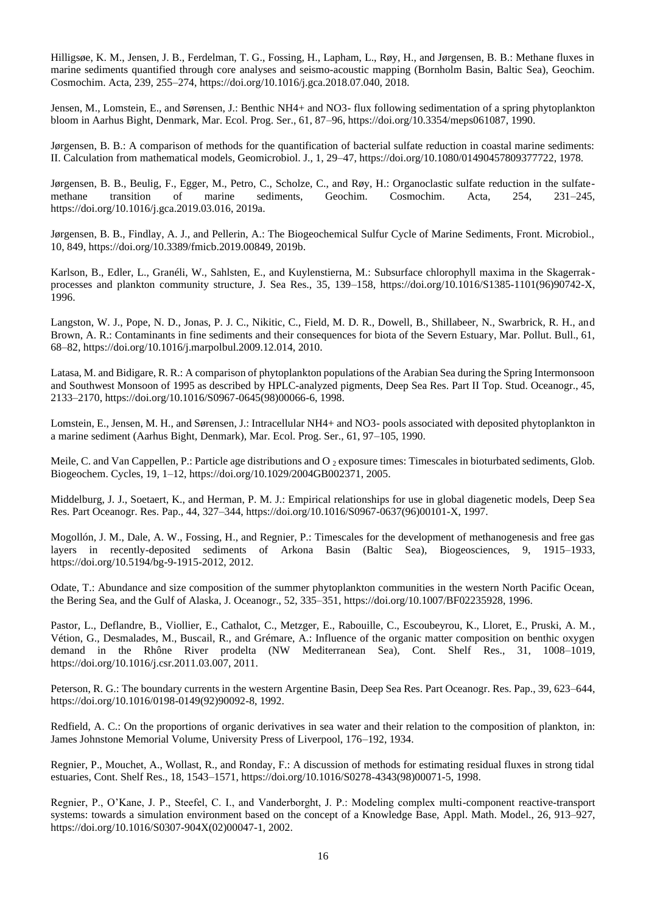Hilligsøe, K. M., Jensen, J. B., Ferdelman, T. G., Fossing, H., Lapham, L., Røy, H., and Jørgensen, B. B.: Methane fluxes in marine sediments quantified through core analyses and seismo-acoustic mapping (Bornholm Basin, Baltic Sea), Geochim. Cosmochim. Acta, 239, 255–274, https://doi.org/10.1016/j.gca.2018.07.040, 2018.

Jensen, M., Lomstein, E., and Sørensen, J.: Benthic NH4+ and NO3- flux following sedimentation of a spring phytoplankton bloom in Aarhus Bight, Denmark, Mar. Ecol. Prog. Ser., 61, 87–96, https://doi.org/10.3354/meps061087, 1990.

Jørgensen, B. B.: A comparison of methods for the quantification of bacterial sulfate reduction in coastal marine sediments: II. Calculation from mathematical models, Geomicrobiol. J., 1, 29–47, https://doi.org/10.1080/01490457809377722, 1978.

Jørgensen, B. B., Beulig, F., Egger, M., Petro, C., Scholze, C., and Røy, H.: Organoclastic sulfate reduction in the sulfatemethane transition of marine sediments, Geochim. Cosmochim. Acta, 254, 231–245, https://doi.org/10.1016/j.gca.2019.03.016, 2019a.

Jørgensen, B. B., Findlay, A. J., and Pellerin, A.: The Biogeochemical Sulfur Cycle of Marine Sediments, Front. Microbiol., 10, 849, https://doi.org/10.3389/fmicb.2019.00849, 2019b.

Karlson, B., Edler, L., Granéli, W., Sahlsten, E., and Kuylenstierna, M.: Subsurface chlorophyll maxima in the Skagerrakprocesses and plankton community structure, J. Sea Res., 35, 139–158, https://doi.org/10.1016/S1385-1101(96)90742-X, 1996.

Langston, W. J., Pope, N. D., Jonas, P. J. C., Nikitic, C., Field, M. D. R., Dowell, B., Shillabeer, N., Swarbrick, R. H., and Brown, A. R.: Contaminants in fine sediments and their consequences for biota of the Severn Estuary, Mar. Pollut. Bull., 61, 68–82, https://doi.org/10.1016/j.marpolbul.2009.12.014, 2010.

Latasa, M. and Bidigare, R. R.: A comparison of phytoplankton populations of the Arabian Sea during the Spring Intermonsoon and Southwest Monsoon of 1995 as described by HPLC-analyzed pigments, Deep Sea Res. Part II Top. Stud. Oceanogr., 45, 2133–2170, https://doi.org/10.1016/S0967-0645(98)00066-6, 1998.

Lomstein, E., Jensen, M. H., and Sørensen, J.: Intracellular NH4+ and NO3- pools associated with deposited phytoplankton in a marine sediment (Aarhus Bight, Denmark), Mar. Ecol. Prog. Ser., 61, 97–105, 1990.

Meile, C. and Van Cappellen, P.: Particle age distributions and O  $_2$  exposure times: Timescales in bioturbated sediments, Glob. Biogeochem. Cycles, 19, 1–12, https://doi.org/10.1029/2004GB002371, 2005.

Middelburg, J. J., Soetaert, K., and Herman, P. M. J.: Empirical relationships for use in global diagenetic models, Deep Sea Res. Part Oceanogr. Res. Pap., 44, 327–344, https://doi.org/10.1016/S0967-0637(96)00101-X, 1997.

Mogollón, J. M., Dale, A. W., Fossing, H., and Regnier, P.: Timescales for the development of methanogenesis and free gas layers in recently-deposited sediments of Arkona Basin (Baltic Sea), Biogeosciences, 9, 1915–1933, https://doi.org/10.5194/bg-9-1915-2012, 2012.

Odate, T.: Abundance and size composition of the summer phytoplankton communities in the western North Pacific Ocean, the Bering Sea, and the Gulf of Alaska, J. Oceanogr., 52, 335–351, https://doi.org/10.1007/BF02235928, 1996.

Pastor, L., Deflandre, B., Viollier, E., Cathalot, C., Metzger, E., Rabouille, C., Escoubeyrou, K., Lloret, E., Pruski, A. M., Vétion, G., Desmalades, M., Buscail, R., and Grémare, A.: Influence of the organic matter composition on benthic oxygen demand in the Rhône River prodelta (NW Mediterranean Sea), Cont. Shelf Res., 31, 1008–1019, https://doi.org/10.1016/j.csr.2011.03.007, 2011.

Peterson, R. G.: The boundary currents in the western Argentine Basin, Deep Sea Res. Part Oceanogr. Res. Pap., 39, 623–644, https://doi.org/10.1016/0198-0149(92)90092-8, 1992.

Redfield, A. C.: On the proportions of organic derivatives in sea water and their relation to the composition of plankton, in: James Johnstone Memorial Volume, University Press of Liverpool, 176–192, 1934.

Regnier, P., Mouchet, A., Wollast, R., and Ronday, F.: A discussion of methods for estimating residual fluxes in strong tidal estuaries, Cont. Shelf Res., 18, 1543–1571, https://doi.org/10.1016/S0278-4343(98)00071-5, 1998.

Regnier, P., O'Kane, J. P., Steefel, C. I., and Vanderborght, J. P.: Modeling complex multi-component reactive-transport systems: towards a simulation environment based on the concept of a Knowledge Base, Appl. Math. Model., 26, 913–927, https://doi.org/10.1016/S0307-904X(02)00047-1, 2002.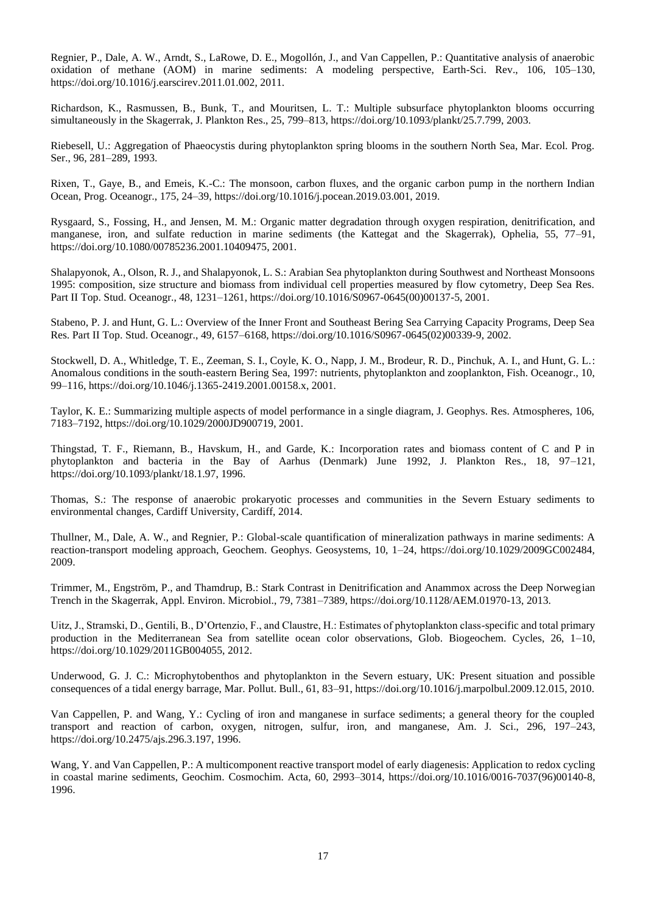Regnier, P., Dale, A. W., Arndt, S., LaRowe, D. E., Mogollón, J., and Van Cappellen, P.: Quantitative analysis of anaerobic oxidation of methane (AOM) in marine sediments: A modeling perspective, Earth-Sci. Rev., 106, 105–130, https://doi.org/10.1016/j.earscirev.2011.01.002, 2011.

Richardson, K., Rasmussen, B., Bunk, T., and Mouritsen, L. T.: Multiple subsurface phytoplankton blooms occurring simultaneously in the Skagerrak, J. Plankton Res., 25, 799–813, https://doi.org/10.1093/plankt/25.7.799, 2003.

Riebesell, U.: Aggregation of Phaeocystis during phytoplankton spring blooms in the southern North Sea, Mar. Ecol. Prog. Ser., 96, 281–289, 1993.

Rixen, T., Gaye, B., and Emeis, K.-C.: The monsoon, carbon fluxes, and the organic carbon pump in the northern Indian Ocean, Prog. Oceanogr., 175, 24–39, https://doi.org/10.1016/j.pocean.2019.03.001, 2019.

Rysgaard, S., Fossing, H., and Jensen, M. M.: Organic matter degradation through oxygen respiration, denitrification, and manganese, iron, and sulfate reduction in marine sediments (the Kattegat and the Skagerrak), Ophelia, 55, 77–91, https://doi.org/10.1080/00785236.2001.10409475, 2001.

Shalapyonok, A., Olson, R. J., and Shalapyonok, L. S.: Arabian Sea phytoplankton during Southwest and Northeast Monsoons 1995: composition, size structure and biomass from individual cell properties measured by flow cytometry, Deep Sea Res. Part II Top. Stud. Oceanogr., 48, 1231–1261, https://doi.org/10.1016/S0967-0645(00)00137-5, 2001.

Stabeno, P. J. and Hunt, G. L.: Overview of the Inner Front and Southeast Bering Sea Carrying Capacity Programs, Deep Sea Res. Part II Top. Stud. Oceanogr., 49, 6157–6168, https://doi.org/10.1016/S0967-0645(02)00339-9, 2002.

Stockwell, D. A., Whitledge, T. E., Zeeman, S. I., Coyle, K. O., Napp, J. M., Brodeur, R. D., Pinchuk, A. I., and Hunt, G. L.: Anomalous conditions in the south-eastern Bering Sea, 1997: nutrients, phytoplankton and zooplankton, Fish. Oceanogr., 10, 99–116, https://doi.org/10.1046/j.1365-2419.2001.00158.x, 2001.

Taylor, K. E.: Summarizing multiple aspects of model performance in a single diagram, J. Geophys. Res. Atmospheres, 106, 7183–7192, https://doi.org/10.1029/2000JD900719, 2001.

Thingstad, T. F., Riemann, B., Havskum, H., and Garde, K.: Incorporation rates and biomass content of C and P in phytoplankton and bacteria in the Bay of Aarhus (Denmark) June 1992, J. Plankton Res., 18, 97–121, https://doi.org/10.1093/plankt/18.1.97, 1996.

Thomas, S.: The response of anaerobic prokaryotic processes and communities in the Severn Estuary sediments to environmental changes, Cardiff University, Cardiff, 2014.

Thullner, M., Dale, A. W., and Regnier, P.: Global-scale quantification of mineralization pathways in marine sediments: A reaction-transport modeling approach, Geochem. Geophys. Geosystems, 10, 1–24, https://doi.org/10.1029/2009GC002484, 2009.

Trimmer, M., Engström, P., and Thamdrup, B.: Stark Contrast in Denitrification and Anammox across the Deep Norwegian Trench in the Skagerrak, Appl. Environ. Microbiol., 79, 7381–7389, https://doi.org/10.1128/AEM.01970-13, 2013.

Uitz, J., Stramski, D., Gentili, B., D'Ortenzio, F., and Claustre, H.: Estimates of phytoplankton class-specific and total primary production in the Mediterranean Sea from satellite ocean color observations, Glob. Biogeochem. Cycles, 26, 1–10, https://doi.org/10.1029/2011GB004055, 2012.

Underwood, G. J. C.: Microphytobenthos and phytoplankton in the Severn estuary, UK: Present situation and possible consequences of a tidal energy barrage, Mar. Pollut. Bull., 61, 83–91, https://doi.org/10.1016/j.marpolbul.2009.12.015, 2010.

Van Cappellen, P. and Wang, Y.: Cycling of iron and manganese in surface sediments; a general theory for the coupled transport and reaction of carbon, oxygen, nitrogen, sulfur, iron, and manganese, Am. J. Sci., 296, 197–243, https://doi.org/10.2475/ajs.296.3.197, 1996.

Wang, Y. and Van Cappellen, P.: A multicomponent reactive transport model of early diagenesis: Application to redox cycling in coastal marine sediments, Geochim. Cosmochim. Acta, 60, 2993–3014, https://doi.org/10.1016/0016-7037(96)00140-8, 1996.